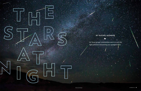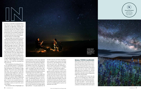

be felt hundreds of miles away. Big Bend National Park, home to some of the darkest skies in the lower 48, experiences light pol lution from as far afield as Del Rio, El Paso, and Midland. These days, the majority of Texans can no longer see the Milky Way at night, according to the Hill Country Alli ance, a Dripping Springs-based nonprofit that seeks to preserve the natural resources and heritage of the Texas Hill Country.

The movement to protect our night skies from light pollution has lagged behind ad vocacy for other elements of the environ ment. Championing darkness can be a tough sell, says John Barentine, director of public policy for the International Dark-Sky Association (IDA). Based in Tucson, Arizona, IDA is at the forefront of the fight against light pollution. "I can give people facts 'til

I'm blue in the face, but that's not going to move somebody who's afraid of the dark and who has a gut feeling that more light will make them safe," Barentine says. "I have to slowly evolve their emotional reaction from seeing darkness as a problem to seeing it as a value that they support."

Even so, appreciation for darkness has gained traction around the world, and in Texas in particular. Barentine says Texas is a leader in the dark sky movement, in part because the state is home to some of the last night skies that remain pristine—that is, largely unaffected by skyglow. From the remote desert landscapes of far West Texas to the grassy expanses of the Hill Country, Texans are working together to protect our famously starry skies.

### SMALL-TOWN CAMPAIGN

When people think of dark skies in Texas, they often associate them with the vast ex panses of West Texas, home of the Univer sity of Texas McDonald Observatory, a lead ing research hub for astronomy. This makes sense; the area has some of the darkest night skies in the continental U.S., and the McDonald Observatory hosts regular tours, star parties, and other events to acquaint the public with celestial bodies.

But you shouldn't have to drive into the desert to see stunning stars. When Cathy Moreman moved to Wimberley from Hous ton eight years ago, she loved the peace ful, quiet atmosphere—and the night skies. The Central Texas town, which exists at the confluence of the Blanco River and Cypress

his time as a naturalist at Enchanted Rock State Natural Area, Scott Whitener loved taking kids on night hikes. Whitener had left his previous job teaching in Fredericks burg partly because he wanted to spend more time outside. On treks up the massive granite dome, he encouraged young people to overcome their nerves as they grew ac customed to the dark, their senses sharpen ing in the absence of artificial light.

A group of high school students from San Antonio made a particularly strong impres sion. Most of them had never ventured out side the city in their lives; now, they were exploring in the dark and peering at the night sky through a telescope. "When kids see the Milky Way for the first time—that's a life-changing experience," Whitener says.

Unfortunately, such experiences are growing increasingly rare. When Texas was still a primarily rural state, light pollution wasn't an issue on anyone's radar. As ev eryone from Gene Autry to George Strait to Pee-Wee Herman has crooned, "The stars at night are big and bright, deep in the heart of Texas." Today, though, those spangled night skies are a little less stunning than they used to be.

Texas' population is booming and its cit ies are sprawling. Industry is expanding, particularly oil, natural gas, and wind en ergy development, all contributors to light pollution. This means more artificial light after dark, and as a result, the state has some of the nation's highest per-capita rates of nighttime light emission. Across Texas, unshielded or upward-pointing lights con tribute to the gradual, diffuse brightening of the night sky, an effect known as "sky glow." If you've ever searched the sky for shooting stars and noticed the night doesn't seem quite as dark as it used to be, you've seen skyglow.

The cumulative effect of bright lights can





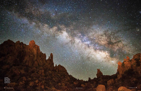

**The Milky Way over Big Bend National Park, which is recognized as a Dark Sky Park.**

z.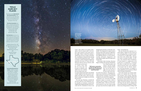Creek, takes pride in its quaint atmo sphere, from its annual rodeo to the out door walk-in theater to the serene and si lent nights. When I visited this summer, I squinted up at the sky, trying to remember the constellations I'd learned about during visits to the McDonald Observatory—Orion, Cassiopeia, and the elongated triangle that represents the horns of Taurus the bull. Moreman told me she has noticed a shift over the past several years

as Central Texas—like the rest of the state—has boomed. In 2018 the state added more new residents than any other in the coun -

try, many of them in the Austin-San Antonio corridor. Spillover from the growth is pal pable in the Hill Country, where the popu lation is projected to double over the next three decades.

Five years ago, Moreman, currently the executive director of the Wimberley Val ley Chamber of Commerce, learned that neighboring Dripping Springs had just be come the first community in Texas to be

designated by the IDA as a Dark Sky Com munity. The designation recognizes places that have taken steps to preserve night skies, including passing and enforcing an out door lighting ordinance, as well as demon strating community engagement and educating the public about the importance of dark skies.

Following in their footsteps, Moreman began working with a group of Wimberley

City Council members and citizens "because people do like to visit places where they can see the skies at night, but also because I live here, and I want to pro -

# **TEXAS** DARK SKY PLACES

tect what I love about it." The group even tually came to be known as the Wimberley Valley Dark Sky Committee, which formed to help the area attain IDA recognition.

Moreman was concerned about light pollution's impact on tourism, which is central to the economies of many towns in the Hill Country. "There are a lot of bedand-breakfasts in the area where people go to get away from the city lights and city



noises," she pointed out.

She also learned that exposure to ar tificial light at night has been shown to have damaging effects on human health. Overexposure to bright lights—particu larly those with a bluish tinge—disrupts our innate circadian rhythms, accord ing to the National Sleep Foundation. It's been linked to a suppression in the production of melatonin, a hormone that plays an important role in regulat ing the thyroid system, and contributes to increased risks for obesity, depres sion, and sleep disorders, according to a study published in the *Journal of Clinical Endocrinology & Metabolism.*

Dark skies benefit non-human popu lations, too: Animals rely on their circa dian rhythms when mating, migrating, and hunting. Artificial light disrupts these processes in ways scientists are only now beginning to understand. It doesn't merely impact nocturnal animals, such as bats and frogs, but also species ranging from monarch butterflies to songbirds. Fireflies, those icons of long summer evenings, flash

The Arizona-based **International Dark-Sky Association** recog nizes places for their efforts and success at maintaining dark skies. Here are the classifications as they apply to Texas sites:

**Dark Sky Communities** have shown "exceptional dedication to the preservation of the night sky," including public-education efforts and rules for outdoor lighting. Dripping Springs, 2014 Horseshoe Bay, 2015 Wimberley Valley, 2018

**Dark Sky Parks** must be an "ex ceptional dark sky resource" with strict standards for sky brightness (sky brightness must be routinely equal to or darker than 21.2 mag nitudes per square arc second):

**1.** Big Bend National Park, 2012 **2.** Copper Breaks State Park, 2014 **3.** Enchanted Rock State Natural Area, 2014 **4.** Big Bend Ranch State Park, 2017 **5.** South Llano River State Park, 2017



**LEFT: The Paluxy River near Glen Rose. THIS PAGE: Taken at Block Creek Natural Area, this image stacks multiple photos to capture the light of stars rotating around the North Star.** 

> *"Hill Country communities consider the night sky part of their heritage, and they don't want to lose that."*

**International Dark Sky Sanc tuaries**—the IDA's most rigor ous designation—recognizes natural areas in exception ally remote areas, with even stricter standards for sky brightness (sky brightness must be routinely equal to or darker than 21.5 magnitudes per square arc second): Devils River State Natural Area near Del Rio, 2019



*Photos:* Clark Crenshaw (left); Cathy Adams Clark (right)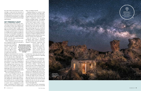less often when in the presence of artifi cial light, a study from the University of Virginia found. And researchers have seen that light pollution can hurt insects' ability to communicate and reproduce, according to a review in the scientific journal *Ecology and Evolution* .

### SKY-FRIENDLY LIGHT

Moreman and her fellow dark-sky advo cates began talking to their neighbors and local business owners about simple fixes, such as turning off lights at night or, for lights that must remain on, shielding them so the glare is pointed down. It's also best to use lights that are neither too bright nor too cool. Cool-toned lights, including most LED bulbs, emit light at wavelengths that are more disruptive to wildlife and human health. "It's just about making people aware," Moreman says.

While Wimberley achieved IDA darksky recognition in 2018, not everyone is

on board with the fight to keep skies dark. Some Hill Country residents keep their yards and homes well-lit at night for secu rity reasons. But a number of studies have found that

brightly lit environments don't necessar ily improve safety; sometimes, in fact, they have the opposite effect. Bright lights cre ate a strong contrast between lit areas and their unlit surroundings, which makes it more difficult to see what's happening in the shadows. A study done by Chicago's Alley Lighting Project found more crime associated with brightly lit alleyways, contrary to expectations. It's also true that bright lights don't necessarily make road ways safer; badly designed or poorly aimed lights can temporarily blind drivers.

The kind of lighting that dark-sky ad vocates prefer—shielded fixtures that point light down, not up—don't cause the kind of glare and contrast that impair vi sion. Making sure outdoor lights are darksky friendly also has economic benefits. From 20 to 50 percent of all outdoor light is wasted—that is, unshielded or poorly aimed—amounting to \$3.5 billion a year in energy loss for outdoor residential lights

alone, according to the IDA.

Dripping Springs has worked to help corporations minimize their light pollu tion. When Home Depot announced plans to build a big-box store in the town, it was subject to regulations aimed at reduc ing glare and light trespass. "The lighting company initially said, 'We can't do that,'" recalls Cindy Luongo Cassidy, a consul tant who works with the town. Cassidy pressed them to find a solution, and within 48 hours, they had come up with a new light-shield design that's now considered standard. When H-E-B planned a grocery store and gas station in nearby Wimberley, that town's dark-sky committee helped the company reconfigure its lighting to be bet ter shielded and more efficient. It now uses half the wattage of the original plan.

Dark-sky advocacy is spreading throughout Hill Country communi ties. Thirteen Hill Country counties have adopted resolutions supporting the

thirds of the region's population (excluding the cities of Austin and San Antonio) live in unincor porated areas. However, as it stands now, Texas law prevents coun ties from adopting ordinances regarding

outdoor lighting.

"The population growth in unincorpo rated areas presents a very strong ratio nale for revisiting these questions," says Cliff Kaplan, a program manager for the Hill Country Alliance. "How long can counties go with so little authority before their natural resources are depleted and they become undesirable places to live?"

preservation of night time darkness. And two-*"Most kids living in a city have no idea that there's anything in the sky other than the moon. You can't experience nature to its fullest if you can't see the Milky Way or identify Saturn on a dark night."*

> Even though Texas counties have limited authority over lighting, Hill Country com munities have "made progress by leaps and bounds," notes Barentine, of the IDA. "They consider the night sky part of their heri tage, and they don't want to lose that." He noted that alliances have formed among people who may not see eye-to-eye po litically, but share concern for the impor tance of dark night skies.

> Of the 23 IDA Dark Sky Communities in the United States, three are in the Hill



residential outdoor light is wasted, meaning unshielded or poorly aimed.



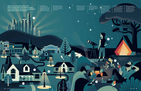1. Across the state, unshielded or upwardpointing lights contribute to the gradual, diffuse brightening of the night sky, an effect known as "skyglow."

2. Overexposure to bright lights at night—particularly those with a bluish tinge disrupts our innate circadian rhythms.

3. Residents can assist in their communities' darksky efforts by turning off lights at night and/or using shielded lights.

 $\circ$ 

6. Community education efforts include star parties where attendees can peer through telescopes at distant celestial objects and listen to stories about the constellations.

T 4. Dark-sky ordinances reduce light pollution by requiring outdoor lighting to be shielded to reduce glare and light.

 $\circ$ 

 $\sqrt{5}$ 

HOME TO SOME OF THE LAST REMAINING PRISTINE NIGHT SKIES, FAST-GROWING TEXAS IS A LEADER IN THE DARK-SKY MOVEMENT.

AO.

7. At South Llano River State Park, kids can check out a Night Sky Explorer Pack. The pack's red flashlight makes enough light to see without disrupting night vision.

 $\circ$ 

1

3

2

4

**STORE** 

6

 $\circ$ 

7

5. Artificial lights affect animals'—bats, frogs, monarch butterflies, and songbirds—ability to mate, migrate, and hunt. Light pollution also hurts insects' ability to communicate and reproduce.

 $\ddot{}$ 

rindo.

M 11

 $11$ 

- - - -

-----

*Illustration:* Gwen Keraval